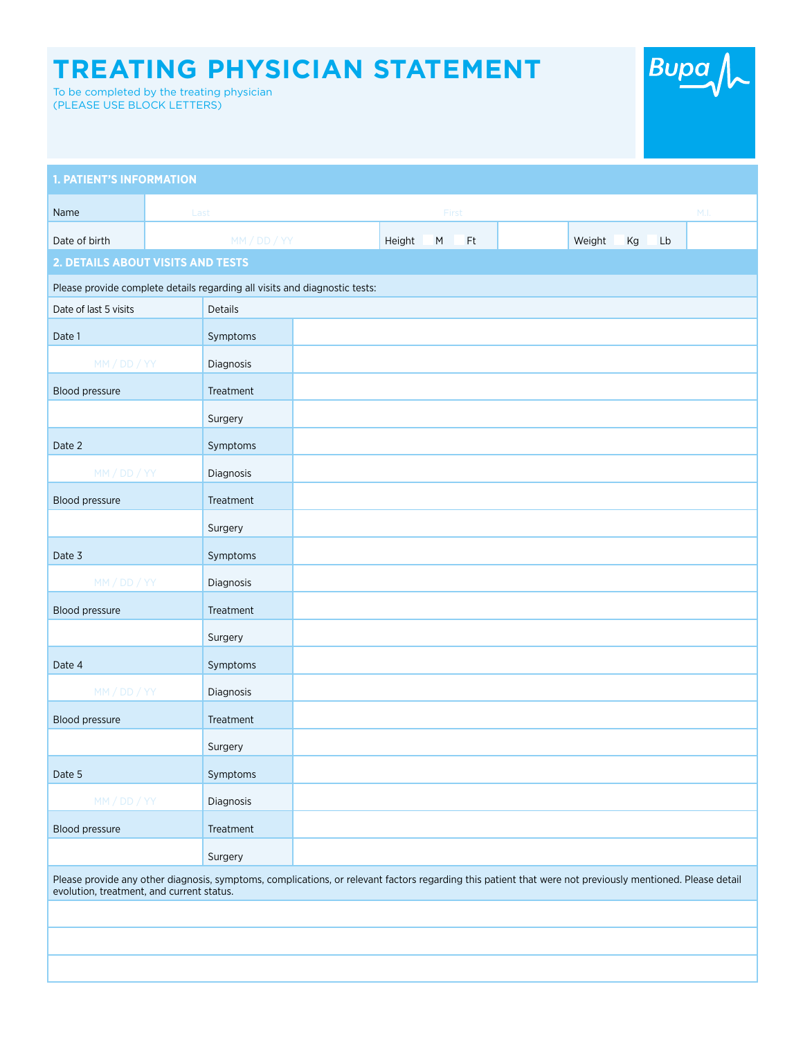## **TREATING PHYSICIAN STATEMENT**

To be completed by the treating physician (PLEASE USE BLOCK LETTERS)

| <b>Bupa</b> |  |
|-------------|--|
|-------------|--|

| <b>1. PATIENT'S INFORMATION</b>                                                                                                                                                                        |      |              |  |        |           |    |  |        |    |    |             |
|--------------------------------------------------------------------------------------------------------------------------------------------------------------------------------------------------------|------|--------------|--|--------|-----------|----|--|--------|----|----|-------------|
| Name                                                                                                                                                                                                   | Last |              |  | First  |           |    |  |        |    |    | $M_{\odot}$ |
| Date of birth                                                                                                                                                                                          |      | MM / DD / YY |  | Height | ${\sf M}$ | Ft |  | Weight | Kg | Lb |             |
| 2. DETAILS ABOUT VISITS AND TESTS                                                                                                                                                                      |      |              |  |        |           |    |  |        |    |    |             |
| Please provide complete details regarding all visits and diagnostic tests:                                                                                                                             |      |              |  |        |           |    |  |        |    |    |             |
| Date of last 5 visits                                                                                                                                                                                  |      | Details      |  |        |           |    |  |        |    |    |             |
| Date 1                                                                                                                                                                                                 |      | Symptoms     |  |        |           |    |  |        |    |    |             |
| MM / DD / YY                                                                                                                                                                                           |      | Diagnosis    |  |        |           |    |  |        |    |    |             |
| Blood pressure                                                                                                                                                                                         |      | Treatment    |  |        |           |    |  |        |    |    |             |
|                                                                                                                                                                                                        |      | Surgery      |  |        |           |    |  |        |    |    |             |
| Date 2                                                                                                                                                                                                 |      | Symptoms     |  |        |           |    |  |        |    |    |             |
| MM / DD / YY                                                                                                                                                                                           |      | Diagnosis    |  |        |           |    |  |        |    |    |             |
| Blood pressure                                                                                                                                                                                         |      | Treatment    |  |        |           |    |  |        |    |    |             |
|                                                                                                                                                                                                        |      | Surgery      |  |        |           |    |  |        |    |    |             |
| Date 3                                                                                                                                                                                                 |      | Symptoms     |  |        |           |    |  |        |    |    |             |
| MM / DD / YY                                                                                                                                                                                           |      | Diagnosis    |  |        |           |    |  |        |    |    |             |
| Blood pressure                                                                                                                                                                                         |      | Treatment    |  |        |           |    |  |        |    |    |             |
|                                                                                                                                                                                                        |      | Surgery      |  |        |           |    |  |        |    |    |             |
| Date 4                                                                                                                                                                                                 |      | Symptoms     |  |        |           |    |  |        |    |    |             |
| MM / DD / YY                                                                                                                                                                                           |      | Diagnosis    |  |        |           |    |  |        |    |    |             |
| Blood pressure                                                                                                                                                                                         |      | Treatment    |  |        |           |    |  |        |    |    |             |
|                                                                                                                                                                                                        |      | Surgery      |  |        |           |    |  |        |    |    |             |
| Date 5                                                                                                                                                                                                 |      | Symptoms     |  |        |           |    |  |        |    |    |             |
| MM / DD / YY                                                                                                                                                                                           |      | Diagnosis    |  |        |           |    |  |        |    |    |             |
| Blood pressure                                                                                                                                                                                         |      | Treatment    |  |        |           |    |  |        |    |    |             |
|                                                                                                                                                                                                        |      | Surgery      |  |        |           |    |  |        |    |    |             |
| Please provide any other diagnosis, symptoms, complications, or relevant factors regarding this patient that were not previously mentioned. Please detail<br>evolution, treatment, and current status. |      |              |  |        |           |    |  |        |    |    |             |
|                                                                                                                                                                                                        |      |              |  |        |           |    |  |        |    |    |             |
|                                                                                                                                                                                                        |      |              |  |        |           |    |  |        |    |    |             |
|                                                                                                                                                                                                        |      |              |  |        |           |    |  |        |    |    |             |